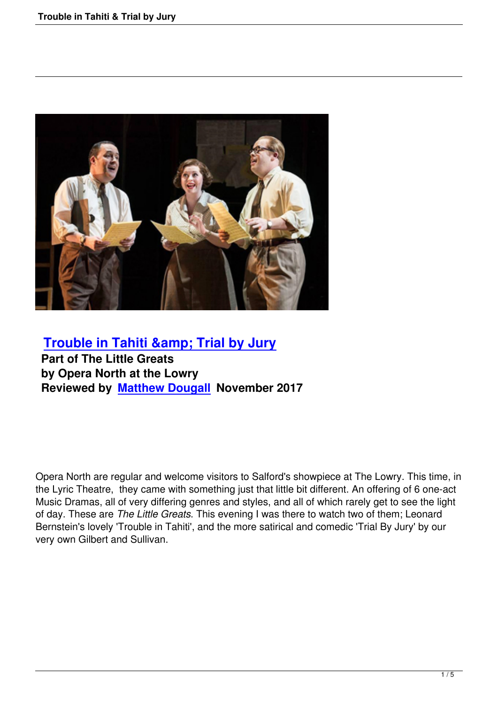

## **Trouble in Tahiti & amp; Trial by Jury Part of The Little Greats by Opera North at the Lowry [Reviewed by Matthew Dougall November](trouble-in-tahiti-a-trial-by-jury.html) 2017**

Opera North are regular and welcome visitors to Salford's showpiece at The Lowry. This time, in the Lyric Theatre, they came with something just that little bit different. An offering of 6 one-act Music Dramas, all of very differing genres and styles, and all of which rarely get to see the light of day. These are *The Little Greats*. This evening I was there to watch two of them; Leonard Bernstein's lovely 'Trouble in Tahiti', and the more satirical and comedic 'Trial By Jury' by our very own Gilbert and Sullivan.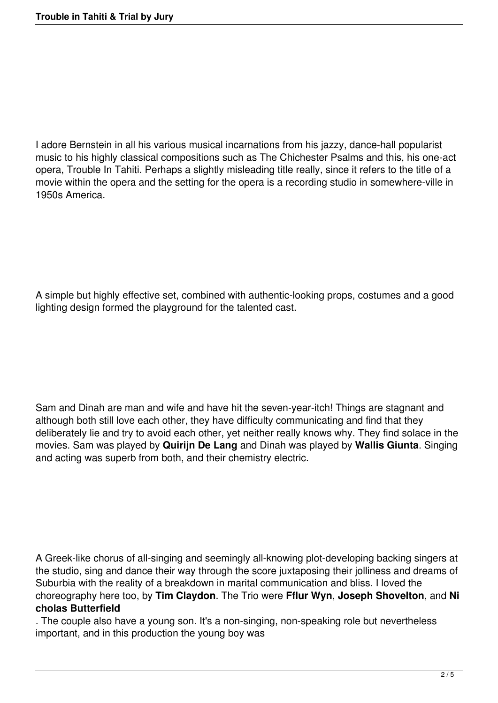I adore Bernstein in all his various musical incarnations from his jazzy, dance-hall popularist music to his highly classical compositions such as The Chichester Psalms and this, his one-act opera, Trouble In Tahiti. Perhaps a slightly misleading title really, since it refers to the title of a movie within the opera and the setting for the opera is a recording studio in somewhere-ville in 1950s America.

A simple but highly effective set, combined with authentic-looking props, costumes and a good lighting design formed the playground for the talented cast.

Sam and Dinah are man and wife and have hit the seven-year-itch! Things are stagnant and although both still love each other, they have difficulty communicating and find that they deliberately lie and try to avoid each other, yet neither really knows why. They find solace in the movies. Sam was played by **Quirijn De Lang** and Dinah was played by **Wallis Giunta**. Singing and acting was superb from both, and their chemistry electric.

A Greek-like chorus of all-singing and seemingly all-knowing plot-developing backing singers at the studio, sing and dance their way through the score juxtaposing their jolliness and dreams of Suburbia with the reality of a breakdown in marital communication and bliss. I loved the choreography here too, by **Tim Claydon**. The Trio were **Fflur Wyn**, **Joseph Shovelton**, and **Ni cholas Butterfield**

. The couple also have a young son. It's a non-singing, non-speaking role but nevertheless important, and in this production the young boy was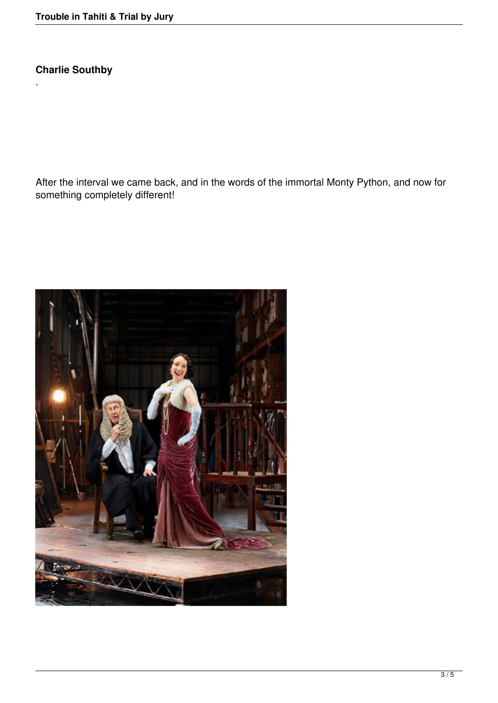**Charlie Southby**

.

After the interval we came back, and in the words of the immortal Monty Python, and now for something completely different!

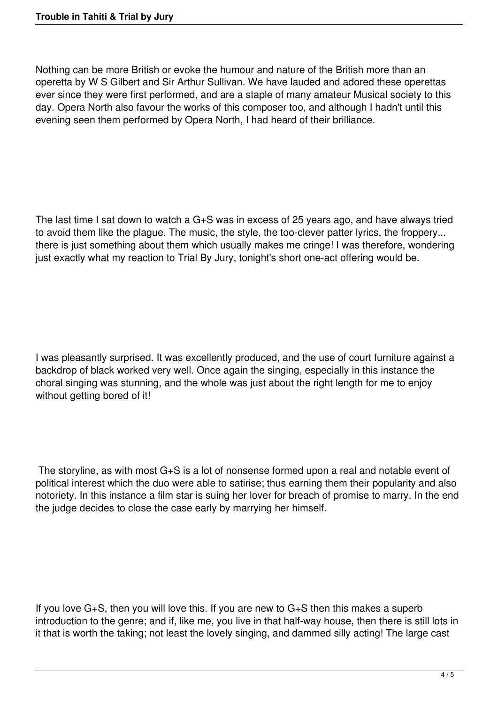Nothing can be more British or evoke the humour and nature of the British more than an operetta by W S Gilbert and Sir Arthur Sullivan. We have lauded and adored these operettas ever since they were first performed, and are a staple of many amateur Musical society to this day. Opera North also favour the works of this composer too, and although I hadn't until this evening seen them performed by Opera North, I had heard of their brilliance.

The last time I sat down to watch a G+S was in excess of 25 years ago, and have always tried to avoid them like the plague. The music, the style, the too-clever patter lyrics, the froppery... there is just something about them which usually makes me cringe! I was therefore, wondering just exactly what my reaction to Trial By Jury, tonight's short one-act offering would be.

I was pleasantly surprised. It was excellently produced, and the use of court furniture against a backdrop of black worked very well. Once again the singing, especially in this instance the choral singing was stunning, and the whole was just about the right length for me to enjoy without getting bored of it!

 The storyline, as with most G+S is a lot of nonsense formed upon a real and notable event of political interest which the duo were able to satirise; thus earning them their popularity and also notoriety. In this instance a film star is suing her lover for breach of promise to marry. In the end the judge decides to close the case early by marrying her himself.

If you love G+S, then you will love this. If you are new to G+S then this makes a superb introduction to the genre; and if, like me, you live in that half-way house, then there is still lots in it that is worth the taking; not least the lovely singing, and dammed silly acting! The large cast